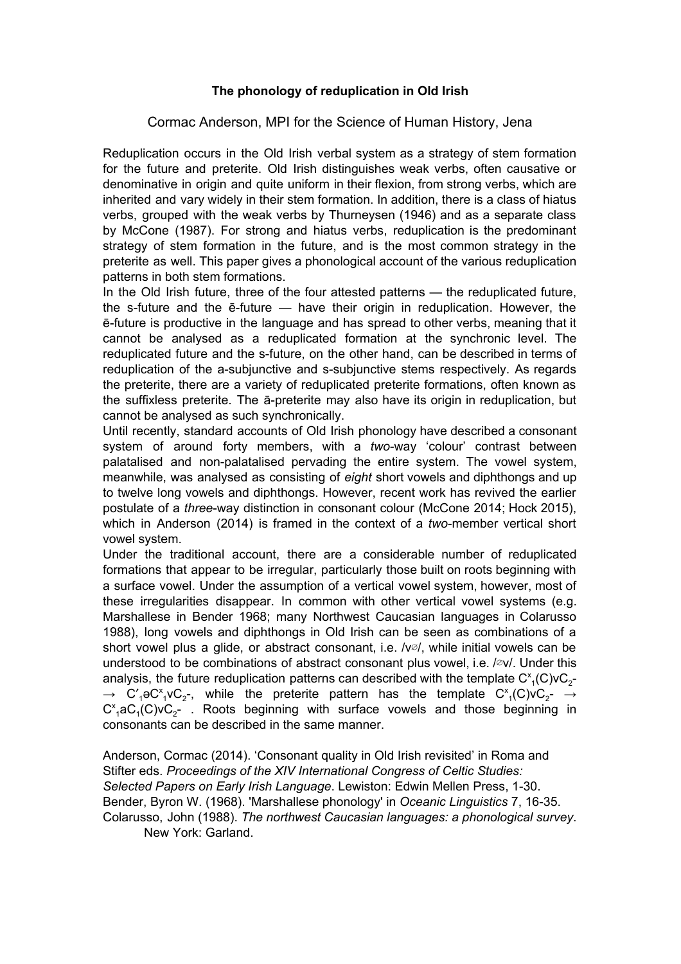## **The phonology of reduplication in Old Irish**

Cormac Anderson, MPI for the Science of Human History, Jena

Reduplication occurs in the Old Irish verbal system as a strategy of stem formation for the future and preterite. Old Irish distinguishes weak verbs, often causative or denominative in origin and quite uniform in their flexion, from strong verbs, which are inherited and vary widely in their stem formation. In addition, there is a class of hiatus verbs, grouped with the weak verbs by Thurneysen (1946) and as a separate class by McCone (1987). For strong and hiatus verbs, reduplication is the predominant strategy of stem formation in the future, and is the most common strategy in the preterite as well. This paper gives a phonological account of the various reduplication patterns in both stem formations.

In the Old Irish future, three of the four attested patterns — the reduplicated future, the s-future and the  $\bar{e}$ -future — have their origin in reduplication. However, the  $\bar{e}$ -future is productive in the language and has spread to other verbs, meaning that it cannot be analysed as a reduplicated formation at the synchronic level. The reduplicated future and the s-future, on the other hand, can be described in terms of reduplication of the a-subjunctive and s-subjunctive stems respectively. As regards the preterite, there are a variety of reduplicated preterite formations, often known as the suffixless preterite. The a-preterite may also have its origin in reduplication, but cannot be analysed as such synchronically.

Until recently, standard accounts of Old Irish phonology have described a consonant system of around forty members, with a *two*-way 'colour' contrast between palatalised and non-palatalised pervading the entire system. The vowel system, meanwhile, was analysed as consisting of *eight* short vowels and diphthongs and up to twelve long vowels and diphthongs. However, recent work has revived the earlier postulate of a *three*way distinction in consonant colour (McCone 2014; Hock 2015), which in Anderson (2014) is framed in the context of a *two*-member vertical short vowel system.

Under the traditional account, there are a considerable number of reduplicated formations that appear to be irregular, particularly those built on roots beginning with a surface vowel. Under the assumption of a vertical vowel system, however, most of these irregularities disappear. In common with other vertical vowel systems (e.g. Marshallese in Bender 1968; many Northwest Caucasian languages in Colarusso 1988), long vowels and diphthongs in Old Irish can be seen as combinations of a short vowel plus a glide, or abstract consonant, i.e.  $\sqrt{v}$ , while initial vowels can be understood to be combinations of abstract consonant plus vowel, i.e. /∅v/. Under this analysis, the future reduplication patterns can described with the template  $\mathrm{C}^\mathsf{x}_\text{-1}(\mathsf{C})\mathsf{v}\mathrm{C}_2$ - $\rightarrow$  C'<sub>1</sub> $\sigma$ C'<sub>1</sub> $\rm vC_{2}$ -, while the preterite pattern has the template C'<sub>1</sub>(C)vC<sub>2</sub>-  $\rightarrow$  $C_{1}^{x}$ aC<sub>1</sub>(C)vC<sub>2</sub>- . Roots beginning with surface vowels and those beginning in consonants can be described in the same manner.

Anderson, Cormac (2014). 'Consonant quality in Old Irish revisited' in Roma and Stifter eds. *Proceedings of the XIV International Congress of Celtic Studies: Selected Papers on Early Irish Language*. Lewiston: Edwin Mellen Press, 1-30. Bender, Byron W. (1968). 'Marshallese phonology' in *Oceanic Linguistics* 7, 16-35. Colarusso, John (1988). *The northwest Caucasian languages: a phonological survey*. New York: Garland.